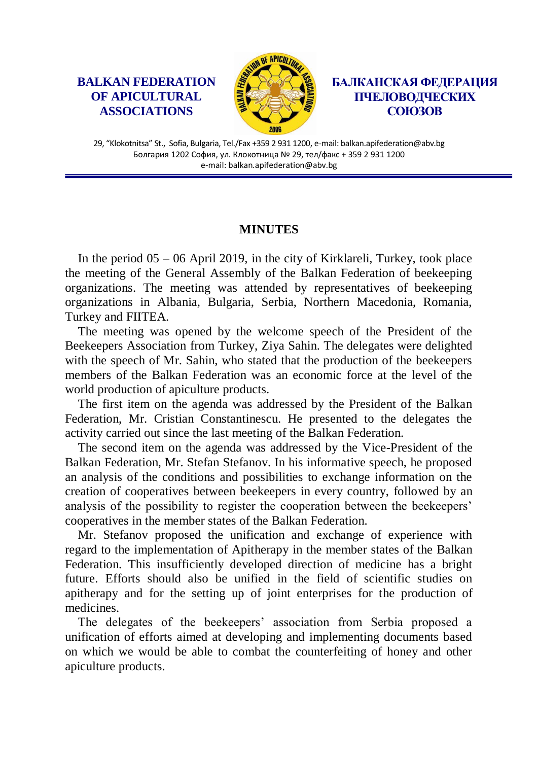## **BALKAN FEDERATION OF APICULTURAL ASSOCIATIONS**



**БАЛКАНСКАЯ ФЕДЕРАЦИЯ ПЧЕЛОВОДЧЕСКИХ СОЮЗОВ**

29, "Klokotnitsa" St., Sofia, Bulgaria, Tel./Fax +359 2 931 1200, e-mail: balkan.apifederation@abv.bg Болгария 1202 София, ул. Клокотница № 29, тел/факс + 359 2 931 1200 e-mail: balkan.apifederation@abv.bg

## **MINUTES**

In the period  $05 - 06$  April 2019, in the city of Kirklareli, Turkey, took place the meeting of the General Assembly of the Balkan Federation of beekeeping organizations. The meeting was attended by representatives of beekeeping organizations in Albania, Bulgaria, Serbia, Northern Macedonia, Romania, Turkey and FIITEA.

The meeting was opened by the welcome speech of the President of the Beekeepers Association from Turkey, Ziya Sahin. The delegates were delighted with the speech of Mr. Sahin, who stated that the production of the beekeepers members of the Balkan Federation was an economic force at the level of the world production of apiculture products.

The first item on the agenda was addressed by the President of the Balkan Federation, Mr. Cristian Constantinescu. He presented to the delegates the activity carried out since the last meeting of the Balkan Federation.

The second item on the agenda was addressed by the Vice-President of the Balkan Federation, Mr. Stefan Stefanov. In his informative speech, he proposed an analysis of the conditions and possibilities to exchange information on the creation of cooperatives between beekeepers in every country, followed by an analysis of the possibility to register the cooperation between the beekeepers' cooperatives in the member states of the Balkan Federation.

Mr. Stefanov proposed the unification and exchange of experience with regard to the implementation of Apitherapy in the member states of the Balkan Federation. This insufficiently developed direction of medicine has a bright future. Efforts should also be unified in the field of scientific studies on apitherapy and for the setting up of joint enterprises for the production of medicines.

The delegates of the beekeepers' association from Serbia proposed a unification of efforts aimed at developing and implementing documents based on which we would be able to combat the counterfeiting of honey and other apiculture products.